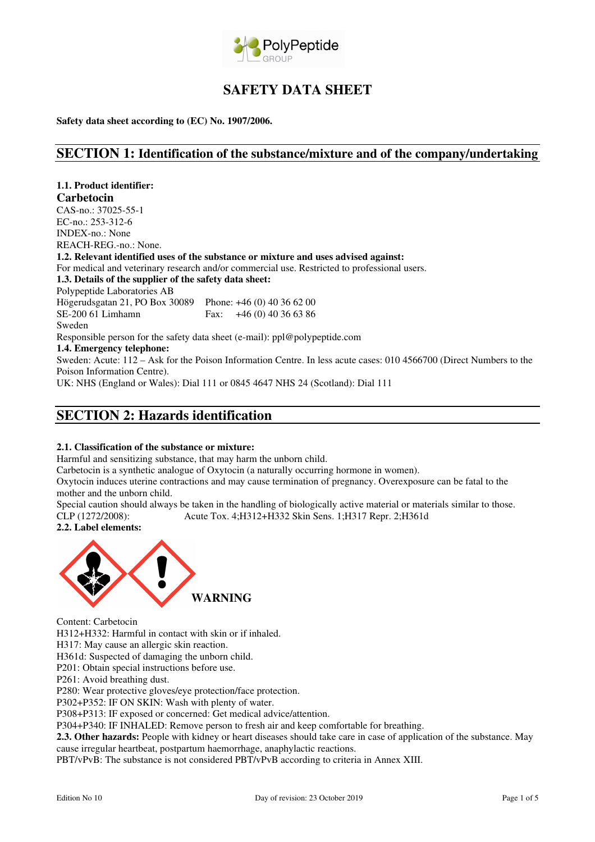

# **SAFETY DATA SHEET**

**Safety data sheet according to (EC) No. 1907/2006.** 

### **SECTION 1: Identification of the substance/mixture and of the company/undertaking**

**1.1. Product identifier: Carbetocin**  CAS-no.: 37025-55-1 EC-no.: 253-312-6 INDEX-no.: None REACH-REG.-no.: None. **1.2. Relevant identified uses of the substance or mixture and uses advised against:**  For medical and veterinary research and/or commercial use. Restricted to professional users. **1.3. Details of the supplier of the safety data sheet:**  Polypeptide Laboratories AB Högerudsgatan 21, PO Box 30089 Phone: +46 (0) 40 36 62 00 Fax:  $+46(0)$  40 36 63 86 Sweden Responsible person for the safety data sheet (e-mail): ppl@polypeptide.com **1.4. Emergency telephone:**  Sweden: Acute: 112 – Ask for the Poison Information Centre. In less acute cases: 010 4566700 (Direct Numbers to the Poison Information Centre). UK: NHS (England or Wales): Dial 111 or 0845 4647 NHS 24 (Scotland): Dial 111

## **SECTION 2: Hazards identification**

### **2.1. Classification of the substance or mixture:**

Harmful and sensitizing substance, that may harm the unborn child.

Carbetocin is a synthetic analogue of Oxytocin (a naturally occurring hormone in women).

Oxytocin induces uterine contractions and may cause termination of pregnancy. Overexposure can be fatal to the mother and the unborn child.

Special caution should always be taken in the handling of biologically active material or materials similar to those. CLP (1272/2008): Acute Tox. 4;H312+H332 Skin Sens. 1;H317 Repr. 2;H361d

### **2.2. Label elements:**



Content: Carbetocin

H312+H332: Harmful in contact with skin or if inhaled.

H317: May cause an allergic skin reaction.

H361d: Suspected of damaging the unborn child.

P201: Obtain special instructions before use.

P261: Avoid breathing dust.

P280: Wear protective gloves/eye protection/face protection.

P302+P352: IF ON SKIN: Wash with plenty of water.

P308+P313: IF exposed or concerned: Get medical advice/attention.

P304+P340: IF INHALED: Remove person to fresh air and keep comfortable for breathing.

**2.3. Other hazards:** People with kidney or heart diseases should take care in case of application of the substance. May cause irregular heartbeat, postpartum haemorrhage, anaphylactic reactions.

PBT/vPvB: The substance is not considered PBT/vPvB according to criteria in Annex XIII.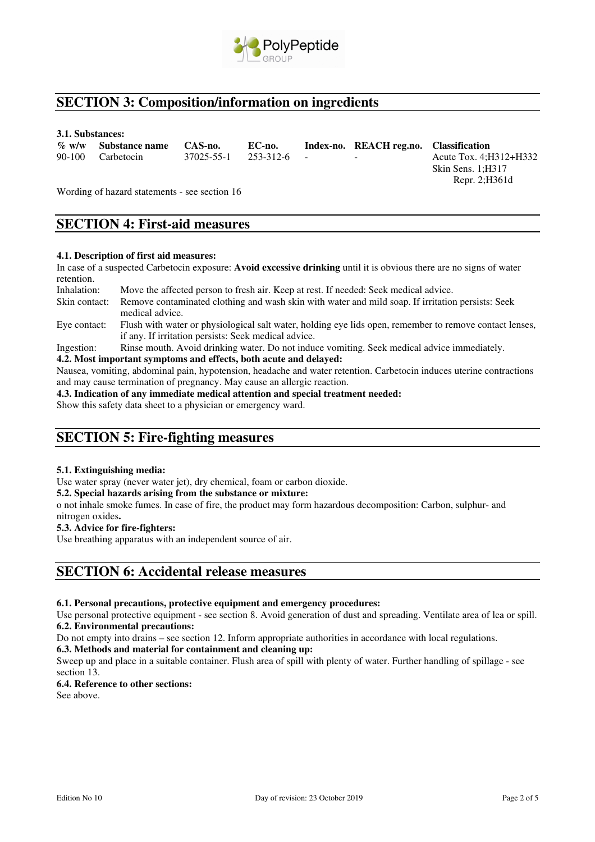

## **SECTION 3: Composition/information on ingredients**

#### **3.1. Substances:**

| % w/w Substance name CAS-no. | EC-no.                             | Index-no. REACH reg.no. Classification |                          |
|------------------------------|------------------------------------|----------------------------------------|--------------------------|
| 90-100 Carbetocin            | $37025 - 55 - 1$ $253 - 312 - 6$ - | the contract of the contract of the    | Acute Tox. 4; H312+ H332 |
|                              |                                    |                                        | Skin Sens. 1:H317        |

Wording of hazard statements - see section 16

## **SECTION 4: First-aid measures**

### **4.1. Description of first aid measures:**

In case of a suspected Carbetocin exposure: **Avoid excessive drinking** until it is obvious there are no signs of water retention.<br>Inhalation:

- Move the affected person to fresh air. Keep at rest. If needed: Seek medical advice. Skin contact: Remove contaminated clothing and wash skin with water and mild soap. If irritation persists: Seek medical advice.
- Eye contact: Flush with water or physiological salt water, holding eye lids open, remember to remove contact lenses, if any. If irritation persists: Seek medical advice.

Ingestion: Rinse mouth. Avoid drinking water. Do not induce vomiting. Seek medical advice immediately.

#### **4.2. Most important symptoms and effects, both acute and delayed:**

Nausea, vomiting, abdominal pain, hypotension, headache and water retention. Carbetocin induces uterine contractions and may cause termination of pregnancy. May cause an allergic reaction.

**4.3. Indication of any immediate medical attention and special treatment needed:**

Show this safety data sheet to a physician or emergency ward.

### **SECTION 5: Fire-fighting measures**

### **5.1. Extinguishing media:**

Use water spray (never water jet), dry chemical, foam or carbon dioxide.

#### **5.2. Special hazards arising from the substance or mixture:**

o not inhale smoke fumes. In case of fire, the product may form hazardous decomposition: Carbon, sulphur- and nitrogen oxides**.** 

### **5.3. Advice for fire-fighters:**

Use breathing apparatus with an independent source of air.

### **SECTION 6: Accidental release measures**

### **6.1. Personal precautions, protective equipment and emergency procedures:**

Use personal protective equipment - see section 8. Avoid generation of dust and spreading. Ventilate area of lea or spill. **6.2. Environmental precautions:** 

Do not empty into drains – see section 12. Inform appropriate authorities in accordance with local regulations.

#### **6.3. Methods and material for containment and cleaning up:**

Sweep up and place in a suitable container. Flush area of spill with plenty of water. Further handling of spillage - see section 13.

### **6.4. Reference to other sections:**

See above.

Repr. 2;H361d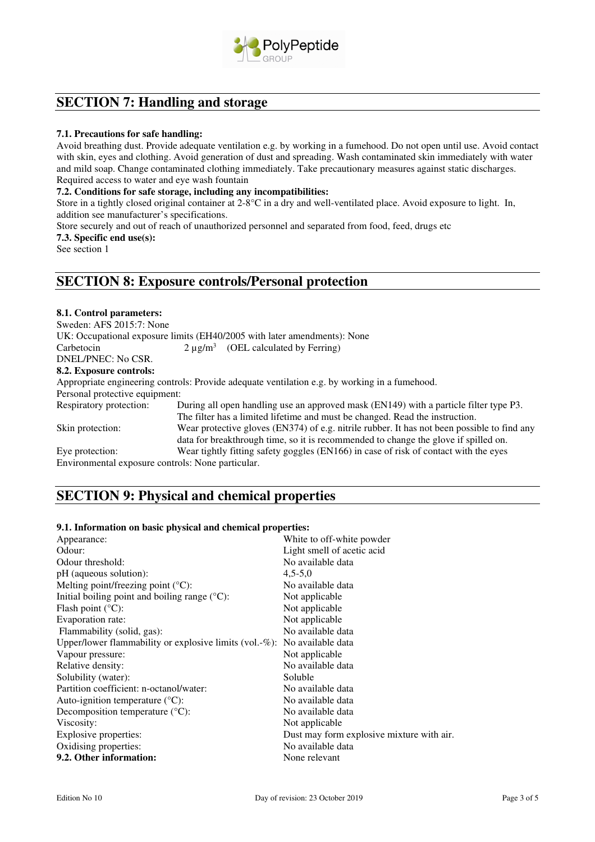

## **SECTION 7: Handling and storage**

### **7.1. Precautions for safe handling:**

Avoid breathing dust. Provide adequate ventilation e.g. by working in a fumehood. Do not open until use. Avoid contact with skin, eyes and clothing. Avoid generation of dust and spreading. Wash contaminated skin immediately with water and mild soap. Change contaminated clothing immediately. Take precautionary measures against static discharges. Required access to water and eye wash fountain

### **7.2. Conditions for safe storage, including any incompatibilities:**

Store in a tightly closed original container at 2-8°C in a dry and well-ventilated place. Avoid exposure to light. In, addition see manufacturer's specifications.

Store securely and out of reach of unauthorized personnel and separated from food, feed, drugs etc

#### **7.3. Specific end use(s):**

See section 1

### **SECTION 8: Exposure controls/Personal protection**

### **8.1. Control parameters:**

Sweden: AFS 2015:7: None UK: Occupational exposure limits (EH40/2005 with later amendments): None Carbetocin  $2 \mu$ g/m<sup>3</sup> (OEL calculated by Ferring) DNEL/PNEC: No CSR. **8.2. Exposure controls:**  Appropriate engineering controls: Provide adequate ventilation e.g. by working in a fumehood. Personal protective equipment: Respiratory protection: During all open handling use an approved mask (EN149) with a particle filter type P3. The filter has a limited lifetime and must be changed. Read the instruction. Skin protection: Wear protective gloves (EN374) of e.g. nitrile rubber. It has not been possible to find any data for breakthrough time, so it is recommended to change the glove if spilled on. Eye protection: Wear tightly fitting safety goggles (EN166) in case of risk of contact with the eyes Environmental exposure controls: None particular.

## **SECTION 9: Physical and chemical properties**

### **9.1. Information on basic physical and chemical properties:**

| Appearance:                                                              | White to off-white powder                 |
|--------------------------------------------------------------------------|-------------------------------------------|
| Odour:                                                                   | Light smell of acetic acid                |
| Odour threshold:                                                         | No available data                         |
| pH (aqueous solution):                                                   | $4,5-5,0$                                 |
| Melting point/freezing point $(^{\circ}C)$ :                             | No available data                         |
| Initial boiling point and boiling range $({}^{\circ}C)$ :                | Not applicable                            |
| Flash point $(^{\circ}C)$ :                                              | Not applicable                            |
| Evaporation rate:                                                        | Not applicable                            |
| Flammability (solid, gas):                                               | No available data                         |
| Upper/lower flammability or explosive limits (vol.-%): No available data |                                           |
| Vapour pressure:                                                         | Not applicable                            |
| Relative density:                                                        | No available data                         |
| Solubility (water):                                                      | Soluble                                   |
| Partition coefficient: n-octanol/water:                                  | No available data                         |
| Auto-ignition temperature $({}^{\circ}C)$ :                              | No available data                         |
| Decomposition temperature $(^{\circ}C)$ :                                | No available data                         |
| Viscosity:                                                               | Not applicable                            |
| Explosive properties:                                                    | Dust may form explosive mixture with air. |
| Oxidising properties:                                                    | No available data                         |
| 9.2. Other information:                                                  | None relevant                             |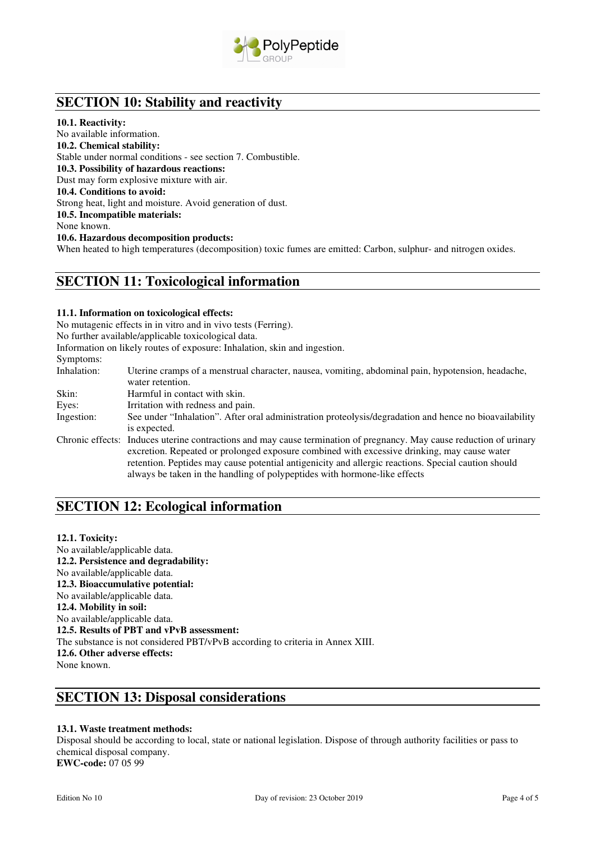

# **SECTION 10: Stability and reactivity**

#### **10.1. Reactivity:**

No available information. **10.2. Chemical stability:**  Stable under normal conditions - see section 7. Combustible. **10.3. Possibility of hazardous reactions:**  Dust may form explosive mixture with air. **10.4. Conditions to avoid:**  Strong heat, light and moisture. Avoid generation of dust. **10.5. Incompatible materials:**  None known. **10.6. Hazardous decomposition products:**  When heated to high temperatures (decomposition) toxic fumes are emitted: Carbon, sulphur- and nitrogen oxides.

### **SECTION 11: Toxicological information**

### **11.1. Information on toxicological effects:**

No mutagenic effects in in vitro and in vivo tests (Ferring).

No further available/applicable toxicological data.

Information on likely routes of exposure: Inhalation, skin and ingestion.

#### Symptoms:

Inhalation: Uterine cramps of a menstrual character, nausea, vomiting, abdominal pain, hypotension, headache, water retention. Skin: Harmful in contact with skin. Eyes: Irritation with redness and pain. Ingestion: See under "Inhalation". After oral administration proteolysis/degradation and hence no bioavailability is expected. Chronic effects: Induces uterine contractions and may cause termination of pregnancy. May cause reduction of urinary excretion. Repeated or prolonged exposure combined with excessive drinking, may cause water retention. Peptides may cause potential antigenicity and allergic reactions. Special caution should always be taken in the handling of polypeptides with hormone-like effects

## **SECTION 12: Ecological information**

### **12.1. Toxicity:**

No available/applicable data. **12.2. Persistence and degradability:** No available/applicable data. **12.3. Bioaccumulative potential:** No available/applicable data. **12.4. Mobility in soil:**  No available/applicable data. **12.5. Results of PBT and vPvB assessment:**  The substance is not considered PBT/vPvB according to criteria in Annex XIII. **12.6. Other adverse effects:**  None known.

## **SECTION 13: Disposal considerations**

### **13.1. Waste treatment methods:**

Disposal should be according to local, state or national legislation. Dispose of through authority facilities or pass to chemical disposal company. **EWC-code:** 07 05 99